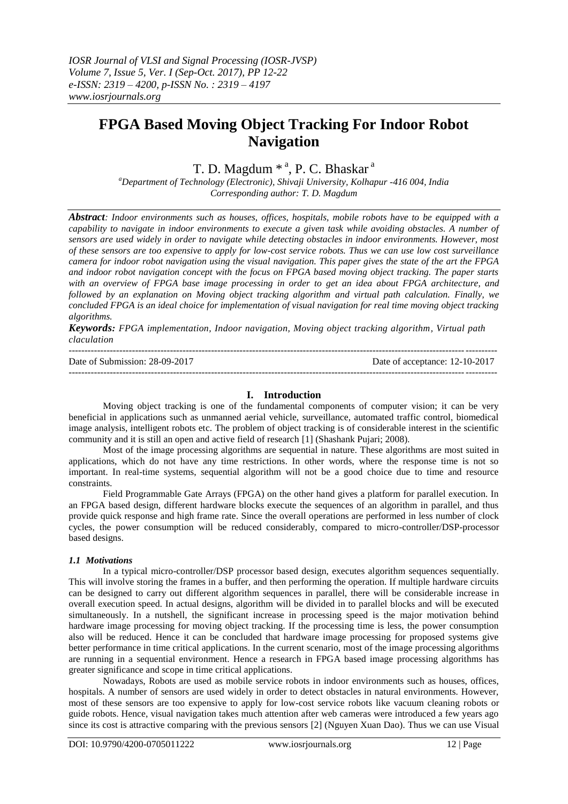# **FPGA Based Moving Object Tracking For Indoor Robot Navigation**

# T. D. Magdum  $*$ <sup>a</sup>, P. C. Bhaskar<sup>a</sup>

*<sup>a</sup>Department of Technology (Electronic), Shivaji University, Kolhapur -416 004, India Corresponding author: T. D. Magdum*

*Abstract: Indoor environments such as houses, offices, hospitals, mobile robots have to be equipped with a capability to navigate in indoor environments to execute a given task while avoiding obstacles. A number of sensors are used widely in order to navigate while detecting obstacles in indoor environments. However, most of these sensors are too expensive to apply for low-cost service robots. Thus we can use low cost surveillance camera for indoor robot navigation using the visual navigation. This paper gives the state of the art the FPGA and indoor robot navigation concept with the focus on FPGA based moving object tracking. The paper starts with an overview of FPGA base image processing in order to get an idea about FPGA architecture, and followed by an explanation on Moving object tracking algorithm and virtual path calculation. Finally, we concluded FPGA is an ideal choice for implementation of visual navigation for real time moving object tracking algorithms.*

*Keywords: FPGA implementation, Indoor navigation, Moving object tracking algorithm, Virtual path claculation*

| Date of Submission: 28-09-2017 | Date of acceptance: 12-10-2017 |
|--------------------------------|--------------------------------|
|                                |                                |

# **I. Introduction**

Moving object tracking is one of the fundamental components of computer vision; it can be very beneficial in applications such as unmanned aerial vehicle, surveillance, automated traffic control, biomedical image analysis, intelligent robots etc. The problem of object tracking is of considerable interest in the scientific community and it is still an open and active field of research [1] (Shashank Pujari; 2008).

Most of the image processing algorithms are sequential in nature. These algorithms are most suited in applications, which do not have any time restrictions. In other words, where the response time is not so important. In real-time systems, sequential algorithm will not be a good choice due to time and resource constraints.

Field Programmable Gate Arrays (FPGA) on the other hand gives a platform for parallel execution. In an FPGA based design, different hardware blocks execute the sequences of an algorithm in parallel, and thus provide quick response and high frame rate. Since the overall operations are performed in less number of clock cycles, the power consumption will be reduced considerably, compared to micro-controller/DSP-processor based designs.

#### *1.1 Motivations*

In a typical micro-controller/DSP processor based design, executes algorithm sequences sequentially. This will involve storing the frames in a buffer, and then performing the operation. If multiple hardware circuits can be designed to carry out different algorithm sequences in parallel, there will be considerable increase in overall execution speed. In actual designs, algorithm will be divided in to parallel blocks and will be executed simultaneously. In a nutshell, the significant increase in processing speed is the major motivation behind hardware image processing for moving object tracking. If the processing time is less, the power consumption also will be reduced. Hence it can be concluded that hardware image processing for proposed systems give better performance in time critical applications. In the current scenario, most of the image processing algorithms are running in a sequential environment. Hence a research in FPGA based image processing algorithms has greater significance and scope in time critical applications.

Nowadays, Robots are used as mobile service robots in indoor environments such as houses, offices, hospitals. A number of sensors are used widely in order to detect obstacles in natural environments. However, most of these sensors are too expensive to apply for low-cost service robots like vacuum cleaning robots or guide robots. Hence, visual navigation takes much attention after web cameras were introduced a few years ago since its cost is attractive comparing with the previous sensors [2] (Nguyen Xuan Dao). Thus we can use Visual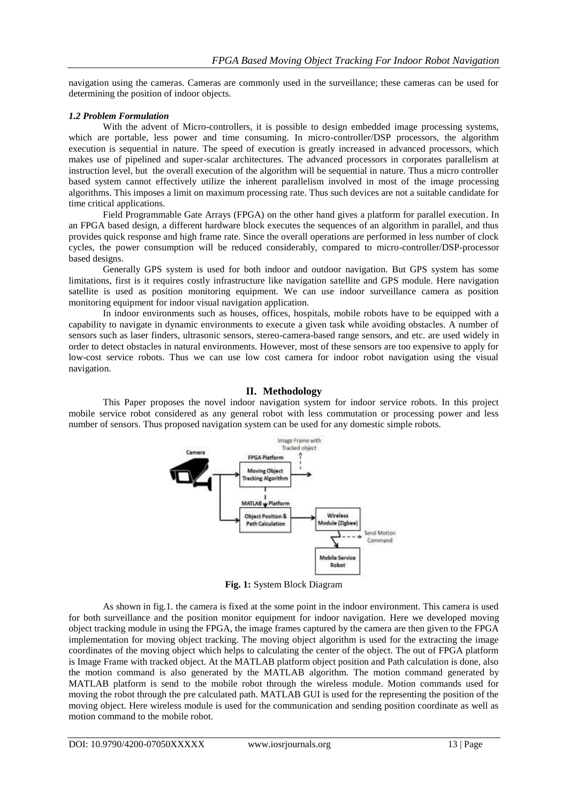navigation using the cameras. Cameras are commonly used in the surveillance; these cameras can be used for determining the position of indoor objects.

# *1.2 Problem Formulation*

With the advent of Micro-controllers, it is possible to design embedded image processing systems, which are portable, less power and time consuming. In micro-controller/DSP processors, the algorithm execution is sequential in nature. The speed of execution is greatly increased in advanced processors, which makes use of pipelined and super-scalar architectures. The advanced processors in corporates parallelism at instruction level, but the overall execution of the algorithm will be sequential in nature. Thus a micro controller based system cannot effectively utilize the inherent parallelism involved in most of the image processing algorithms. This imposes a limit on maximum processing rate. Thus such devices are not a suitable candidate for time critical applications.

Field Programmable Gate Arrays (FPGA) on the other hand gives a platform for parallel execution. In an FPGA based design, a different hardware block executes the sequences of an algorithm in parallel, and thus provides quick response and high frame rate. Since the overall operations are performed in less number of clock cycles, the power consumption will be reduced considerably, compared to micro-controller/DSP-processor based designs.

Generally GPS system is used for both indoor and outdoor navigation. But GPS system has some limitations, first is it requires costly infrastructure like navigation satellite and GPS module. Here navigation satellite is used as position monitoring equipment. We can use indoor surveillance camera as position monitoring equipment for indoor visual navigation application.

In indoor environments such as houses, offices, hospitals, mobile robots have to be equipped with a capability to navigate in dynamic environments to execute a given task while avoiding obstacles. A number of sensors such as laser finders, ultrasonic sensors, stereo-camera-based range sensors, and etc. are used widely in order to detect obstacles in natural environments. However, most of these sensors are too expensive to apply for low-cost service robots. Thus we can use low cost camera for indoor robot navigation using the visual navigation.

# **II. Methodology**

This Paper proposes the novel indoor navigation system for indoor service robots. In this project mobile service robot considered as any general robot with less commutation or processing power and less number of sensors. Thus proposed navigation system can be used for any domestic simple robots.



**Fig. 1:** System Block Diagram

As shown in fig.1. the camera is fixed at the some point in the indoor environment. This camera is used for both surveillance and the position monitor equipment for indoor navigation. Here we developed moving object tracking module in using the FPGA, the image frames captured by the camera are then given to the FPGA implementation for moving object tracking. The moving object algorithm is used for the extracting the image coordinates of the moving object which helps to calculating the center of the object. The out of FPGA platform is Image Frame with tracked object. At the MATLAB platform object position and Path calculation is done, also the motion command is also generated by the MATLAB algorithm. The motion command generated by MATLAB platform is send to the mobile robot through the wireless module. Motion commands used for moving the robot through the pre calculated path. MATLAB GUI is used for the representing the position of the moving object. Here wireless module is used for the communication and sending position coordinate as well as motion command to the mobile robot.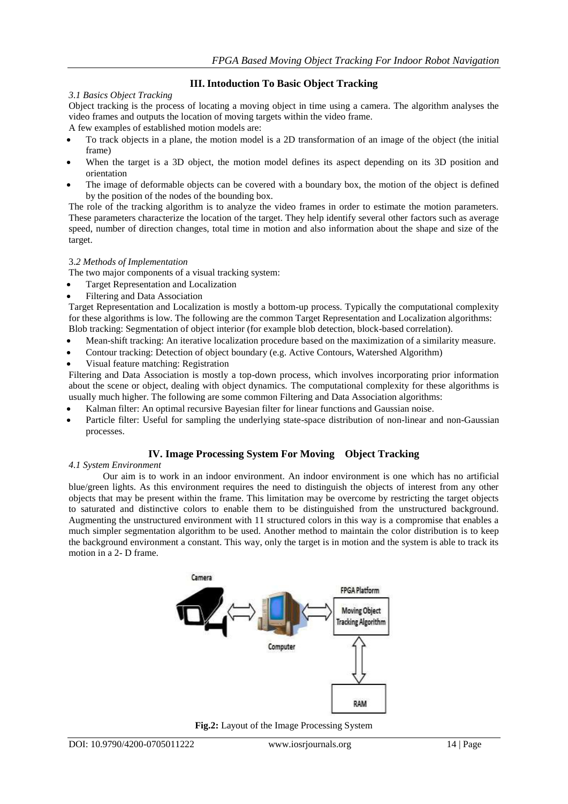# **III. Intoduction To Basic Object Tracking**

# *3.1 Basics Object Tracking*

Object tracking is the process of locating a moving object in time using a camera. The algorithm analyses the video frames and outputs the location of moving targets within the video frame.

A few examples of established motion models are:

- To track objects in a plane, the motion model is a 2D transformation of an image of the object (the initial frame)
- When the target is a 3D object, the motion model defines its aspect depending on its 3D position and orientation
- The image of deformable objects can be covered with a boundary box, the motion of the object is defined by the position of the nodes of the bounding box.

The role of the tracking algorithm is to analyze the video frames in order to estimate the motion parameters. These parameters characterize the location of the target. They help identify several other factors such as average speed, number of direction changes, total time in motion and also information about the shape and size of the target.

# 3.*2 Methods of Implementation*

The two major components of a visual tracking system:

- Target Representation and Localization
- Filtering and Data Association

Target Representation and Localization is mostly a bottom-up process. Typically the computational complexity for these algorithms is low. The following are the common Target Representation and Localization algorithms: Blob tracking: Segmentation of object interior (for example blob detection, block-based correlation).

- Mean-shift tracking: An iterative localization procedure based on the maximization of a similarity measure.
- Contour tracking: Detection of object boundary (e.g. Active Contours, Watershed Algorithm)
- Visual feature matching: Registration

Filtering and Data Association is mostly a top-down process, which involves incorporating prior information about the scene or object, dealing with object dynamics. The computational complexity for these algorithms is usually much higher. The following are some common Filtering and Data Association algorithms:

- Kalman filter: An optimal recursive Bayesian filter for linear functions and Gaussian noise.
- Particle filter: Useful for sampling the underlying state-space distribution of non-linear and non-Gaussian processes.

# **IV. Image Processing System For Moving Object Tracking**

# *4.1 System Environment*

Our aim is to work in an indoor environment. An indoor environment is one which has no artificial blue/green lights. As this environment requires the need to distinguish the objects of interest from any other objects that may be present within the frame. This limitation may be overcome by restricting the target objects to saturated and distinctive colors to enable them to be distinguished from the unstructured background. Augmenting the unstructured environment with 11 structured colors in this way is a compromise that enables a much simpler segmentation algorithm to be used. Another method to maintain the color distribution is to keep the background environment a constant. This way, only the target is in motion and the system is able to track its motion in a 2- D frame.



**Fig.2:** Layout of the Image Processing System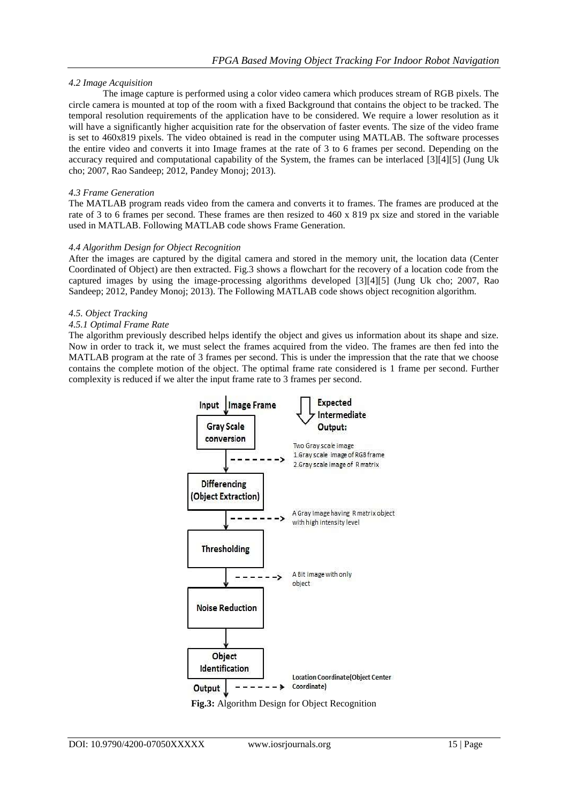# *4.2 Image Acquisition*

The image capture is performed using a color video camera which produces stream of RGB pixels. The circle camera is mounted at top of the room with a fixed Background that contains the object to be tracked. The temporal resolution requirements of the application have to be considered. We require a lower resolution as it will have a significantly higher acquisition rate for the observation of faster events. The size of the video frame is set to 460x819 pixels. The video obtained is read in the computer using MATLAB. The software processes the entire video and converts it into Image frames at the rate of 3 to 6 frames per second. Depending on the accuracy required and computational capability of the System, the frames can be interlaced [3][4][5] (Jung Uk cho; 2007, Rao Sandeep; 2012, Pandey Monoj; 2013).

# *4.3 Frame Generation*

The MATLAB program reads video from the camera and converts it to frames. The frames are produced at the rate of 3 to 6 frames per second. These frames are then resized to 460 x 819 px size and stored in the variable used in MATLAB. Following MATLAB code shows Frame Generation.

# *4.4 Algorithm Design for Object Recognition*

After the images are captured by the digital camera and stored in the memory unit, the location data (Center Coordinated of Object) are then extracted. Fig.3 shows a flowchart for the recovery of a location code from the captured images by using the image-processing algorithms developed [3][4][5] (Jung Uk cho; 2007, Rao Sandeep; 2012, Pandey Monoj; 2013). The Following MATLAB code shows object recognition algorithm.

#### *4.5. Object Tracking*

# *4.5.1 Optimal Frame Rate*

The algorithm previously described helps identify the object and gives us information about its shape and size. Now in order to track it, we must select the frames acquired from the video. The frames are then fed into the MATLAB program at the rate of 3 frames per second. This is under the impression that the rate that we choose contains the complete motion of the object. The optimal frame rate considered is 1 frame per second. Further complexity is reduced if we alter the input frame rate to 3 frames per second.

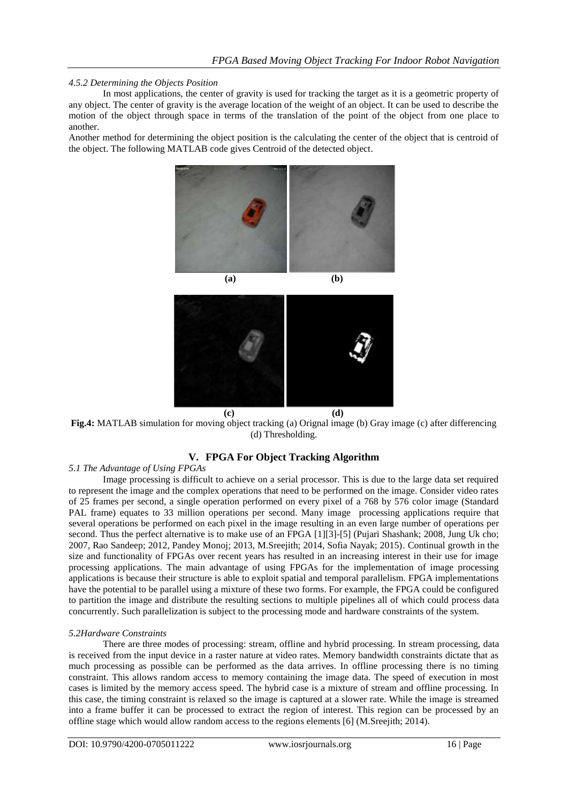# *4.5.2 Determining the Objects Position*

In most applications, the center of gravity is used for tracking the target as it is a geometric property of any object. The center of gravity is the average location of the weight of an object. It can be used to describe the motion of the object through space in terms of the translation of the point of the object from one place to another.

Another method for determining the object position is the calculating the center of the object that is centroid of the object. The following MATLAB code gives Centroid of the detected object.





**Fig.4:** MATLAB simulation for moving object tracking (a) Orignal image (b) Gray image (c) after differencing (d) Thresholding.

# **V. FPGA For Object Tracking Algorithm**

# *5.1 The Advantage of Using FPGAs*

Image processing is difficult to achieve on a serial processor. This is due to the large data set required to represent the image and the complex operations that need to be performed on the image. Consider video rates of 25 frames per second, a single operation performed on every pixel of a 768 by 576 color image (Standard PAL frame) equates to 33 million operations per second. Many image processing applications require that several operations be performed on each pixel in the image resulting in an even large number of operations per second. Thus the perfect alternative is to make use of an FPGA [1][3]-[5] (Pujari Shashank; 2008, Jung Uk cho; 2007, Rao Sandeep; 2012, Pandey Monoj; 2013, M.Sreejith; 2014, Sofia Nayak; 2015). Continual growth in the size and functionality of FPGAs over recent years has resulted in an increasing interest in their use for image processing applications. The main advantage of using FPGAs for the implementation of image processing applications is because their structure is able to exploit spatial and temporal parallelism. FPGA implementations have the potential to be parallel using a mixture of these two forms. For example, the FPGA could be configured to partition the image and distribute the resulting sections to multiple pipelines all of which could process data concurrently. Such parallelization is subject to the processing mode and hardware constraints of the system.

#### *5.2Hardware Constraints*

There are three modes of processing: stream, offline and hybrid processing. In stream processing, data is received from the input device in a raster nature at video rates. Memory bandwidth constraints dictate that as much processing as possible can be performed as the data arrives. In offline processing there is no timing constraint. This allows random access to memory containing the image data. The speed of execution in most cases is limited by the memory access speed. The hybrid case is a mixture of stream and offline processing. In this case, the timing constraint is relaxed so the image is captured at a slower rate. While the image is streamed into a frame buffer it can be processed to extract the region of interest. This region can be processed by an offline stage which would allow random access to the regions elements [6] (M.Sreejith; 2014).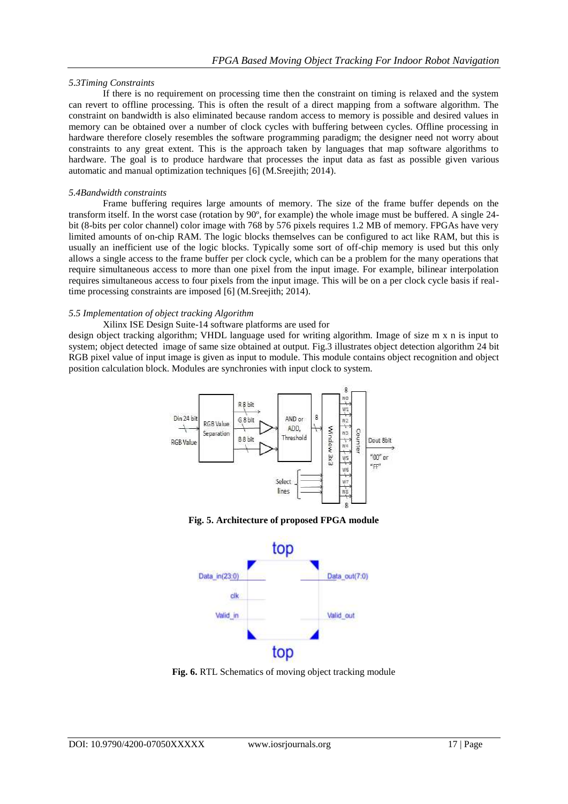#### *5.3Timing Constraints*

If there is no requirement on processing time then the constraint on timing is relaxed and the system can revert to offline processing. This is often the result of a direct mapping from a software algorithm. The constraint on bandwidth is also eliminated because random access to memory is possible and desired values in memory can be obtained over a number of clock cycles with buffering between cycles. Offline processing in hardware therefore closely resembles the software programming paradigm; the designer need not worry about constraints to any great extent. This is the approach taken by languages that map software algorithms to hardware. The goal is to produce hardware that processes the input data as fast as possible given various automatic and manual optimization techniques [6] (M.Sreejith; 2014).

#### *5.4Bandwidth constraints*

Frame buffering requires large amounts of memory. The size of the frame buffer depends on the transform itself. In the worst case (rotation by 90º, for example) the whole image must be buffered. A single 24 bit (8-bits per color channel) color image with 768 by 576 pixels requires 1.2 MB of memory. FPGAs have very limited amounts of on-chip RAM. The logic blocks themselves can be configured to act like RAM, but this is usually an inefficient use of the logic blocks. Typically some sort of off-chip memory is used but this only allows a single access to the frame buffer per clock cycle, which can be a problem for the many operations that require simultaneous access to more than one pixel from the input image. For example, bilinear interpolation requires simultaneous access to four pixels from the input image. This will be on a per clock cycle basis if realtime processing constraints are imposed [6] (M.Sreejith; 2014).

# *5.5 Implementation of object tracking Algorithm*

#### Xilinx ISE Design Suite-14 software platforms are used for

design object tracking algorithm; VHDL language used for writing algorithm. Image of size m x n is input to system; object detected image of same size obtained at output. Fig.3 illustrates object detection algorithm 24 bit RGB pixel value of input image is given as input to module. This module contains object recognition and object position calculation block. Modules are synchronies with input clock to system.



**Fig. 5. Architecture of proposed FPGA module**



**Fig. 6.** RTL Schematics of moving object tracking module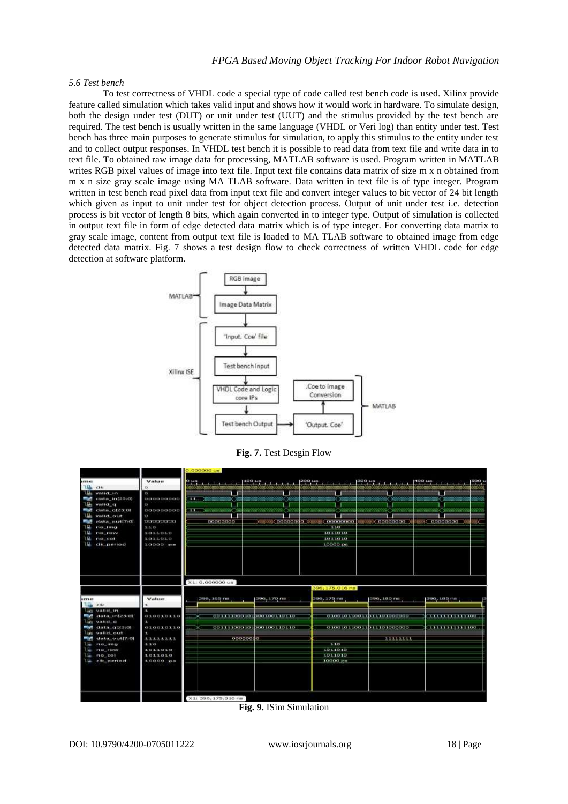#### *5.6 Test bench*

To test correctness of VHDL code a special type of code called test bench code is used. Xilinx provide feature called simulation which takes valid input and shows how it would work in hardware. To simulate design, both the design under test (DUT) or unit under test (UUT) and the stimulus provided by the test bench are required. The test bench is usually written in the same language (VHDL or Veri log) than entity under test. Test bench has three main purposes to generate stimulus for simulation, to apply this stimulus to the entity under test and to collect output responses. In VHDL test bench it is possible to read data from text file and write data in to text file. To obtained raw image data for processing, MATLAB software is used. Program written in MATLAB writes RGB pixel values of image into text file. Input text file contains data matrix of size m x n obtained from m x n size gray scale image using MA TLAB software. Data written in text file is of type integer. Program written in test bench read pixel data from input text file and convert integer values to bit vector of 24 bit length which given as input to unit under test for object detection process. Output of unit under test i.e. detection process is bit vector of length 8 bits, which again converted in to integer type. Output of simulation is collected in output text file in form of edge detected data matrix which is of type integer. For converting data matrix to gray scale image, content from output text file is loaded to MA TLAB software to obtained image from edge detected data matrix. Fig. 7 shows a test design flow to check correctness of written VHDL code for edge detection at software platform.



**Fig. 7.** Test Desgin Flow

|                                       |                   | 0.000000 0m                       |                                 |                               |                          |                                    |  |
|---------------------------------------|-------------------|-----------------------------------|---------------------------------|-------------------------------|--------------------------|------------------------------------|--|
| <b>SETTER</b>                         | Value             | $0 \mu n$ , $1 \mu$               | $100 \text{ Hz}$ $1 \text{ Hz}$ | $200 \, \mu \,$ $\frac{1}{1}$ | $300 \mu m$              | SOO 14<br>and no<br><b>Tarakti</b> |  |
| u.<br>CTN.                            | es                |                                   |                                 |                               |                          |                                    |  |
| vatid in<br>a.                        | $\infty$          |                                   |                                 |                               |                          |                                    |  |
| data in[23:0]                         | 000000000         | 11. 26656556555 265               |                                 | 888888888888888 <> 088888     | 888888888888<>>>>>       | 69888<br>88888888881< >88888888888 |  |
| valid q                               | $\sigma$          |                                   |                                 |                               |                          |                                    |  |
| $dista$ $q23:01$<br>valid out         | 00000000<br>Ü     | <b>ALL: Winnennennen Con-</b>     |                                 |                               |                          | reaction                           |  |
| data_curt[7:0]                        | <b>UUUUUUU</b> U  | 00000000                          |                                 |                               |                          | 8886 00000000 )<br>ad C            |  |
| $ne\_tma$                             | 3.3.0             |                                   |                                 | 110                           |                          |                                    |  |
| FUEL FOUND                            | 1011010           |                                   |                                 | 1011010                       |                          |                                    |  |
| $na$ cot                              | 1011010           |                                   |                                 | 1011010                       |                          |                                    |  |
| cik_period                            | $10000 \text{ m}$ |                                   |                                 | 10000 ps                      |                          |                                    |  |
|                                       |                   |                                   |                                 |                               |                          |                                    |  |
|                                       |                   | X110.000000 us<br>396, 175.016 mm |                                 |                               |                          |                                    |  |
| 498340                                | Value             | 396, 165 ns.                      | 396, 170 na                     | 396, 175 ns.                  | 396, 180 mi              | 396, 185 na.                       |  |
| lШ<br>clk                             |                   |                                   |                                 |                               |                          |                                    |  |
| valid in<br>data_inf23(0)<br>wallst_q | а<br>010010110    |                                   | 001111000101000100110110        |                               | 010010110011011101000000 | 1111111111100                      |  |
| $data_{12}123:01$<br>valid out        | 010010110         |                                   | 001111000101000100110110        |                               | 010010110011011101000000 | -------------                      |  |
| data_out[7:0]                         | 11111111          |                                   | oooooooo                        |                               | 111111111                |                                    |  |
| FLO., 1991 01                         | 3.3.0             |                                   |                                 | 110                           |                          |                                    |  |
| $n\alpha$ row                         | 1011010           |                                   |                                 | 1011010                       |                          |                                    |  |
| $no$ col                              | 1011010           |                                   |                                 | 1011010                       |                          |                                    |  |
| clk_period                            | 10000 08          |                                   |                                 | 10000 ps                      |                          |                                    |  |
|                                       |                   |                                   |                                 |                               |                          |                                    |  |
|                                       |                   | X1: 396, 175, 016 nm              |                                 |                               |                          |                                    |  |

**Fig. 9.** ISim Simulation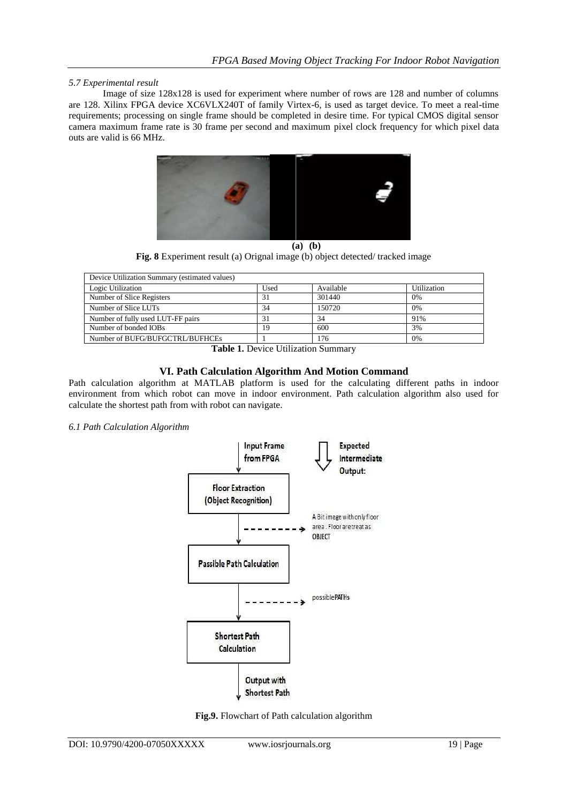# *5.7 Experimental result*

Image of size 128x128 is used for experiment where number of rows are 128 and number of columns are 128. Xilinx FPGA device XC6VLX240T of family Virtex-6, is used as target device. To meet a real-time requirements; processing on single frame should be completed in desire time. For typical CMOS digital sensor camera maximum frame rate is 30 frame per second and maximum pixel clock frequency for which pixel data outs are valid is 66 MHz.



**(a) (b)**

**Fig. 8** Experiment result (a) Orignal image (b) object detected/ tracked image

| Device Utilization Summary (estimated values) |      |           |             |  |  |  |
|-----------------------------------------------|------|-----------|-------------|--|--|--|
| Logic Utilization                             | Used | Available | Utilization |  |  |  |
| Number of Slice Registers                     | 31   | 301440    | 0%          |  |  |  |
| Number of Slice LUTs                          | 34   | 150720    | 0%          |  |  |  |
| Number of fully used LUT-FF pairs             | 31   | 34        | 91%         |  |  |  |
| Number of bonded IOBs                         | 19   | 600       | 3%          |  |  |  |
| Number of BUFG/BUFGCTRL/BUFHCEs               |      | 176       | 0%          |  |  |  |

**Table 1.** Device Utilization Summary

# **VI. Path Calculation Algorithm And Motion Command**

Path calculation algorithm at MATLAB platform is used for the calculating different paths in indoor environment from which robot can move in indoor environment. Path calculation algorithm also used for calculate the shortest path from with robot can navigate.

#### *6.1 Path Calculation Algorithm*



**Fig.9.** Flowchart of Path calculation algorithm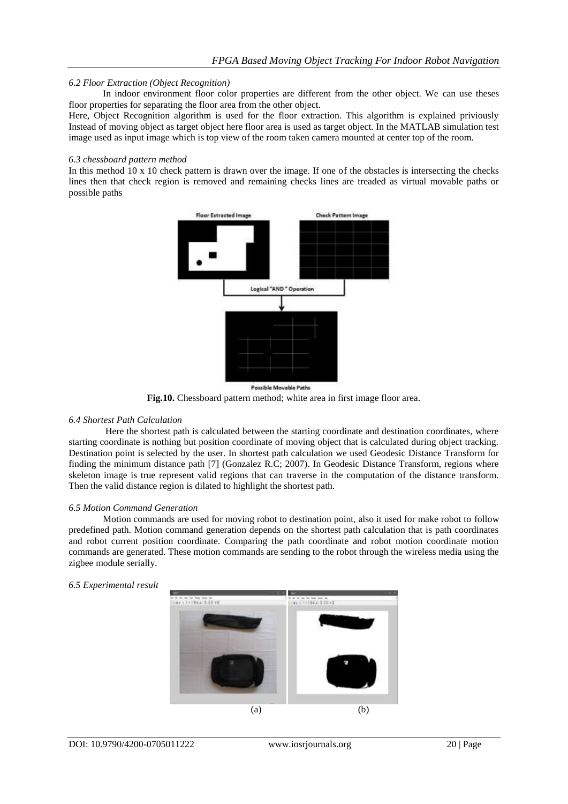# *6.2 Floor Extraction (Object Recognition)*

In indoor environment floor color properties are different from the other object. We can use theses floor properties for separating the floor area from the other object.

Here, Object Recognition algorithm is used for the floor extraction. This algorithm is explained priviously Instead of moving object as target object here floor area is used as target object. In the MATLAB simulation test image used as input image which is top view of the room taken camera mounted at center top of the room.

#### *6.3 chessboard pattern method*

In this method 10 x 10 check pattern is drawn over the image. If one of the obstacles is intersecting the checks lines then that check region is removed and remaining checks lines are treaded as virtual movable paths or possible paths



**Fig.10.** Chessboard pattern method; white area in first image floor area.

#### *6.4 Shortest Path Calculation*

Here the shortest path is calculated between the starting coordinate and destination coordinates, where starting coordinate is nothing but position coordinate of moving object that is calculated during object tracking. Destination point is selected by the user. In shortest path calculation we used Geodesic Distance Transform for finding the minimum distance path [7] (Gonzalez R.C; 2007). In Geodesic Distance Transform, regions where skeleton image is true represent valid regions that can traverse in the computation of the distance transform. Then the valid distance region is dilated to highlight the shortest path.

#### *6.5 Motion Command Generation*

Motion commands are used for moving robot to destination point, also it used for make robot to follow predefined path. Motion command generation depends on the shortest path calculation that is path coordinates and robot current position coordinate. Comparing the path coordinate and robot motion coordinate motion commands are generated. These motion commands are sending to the robot through the wireless media using the zigbee module serially.

#### *6.5 Experimental result*

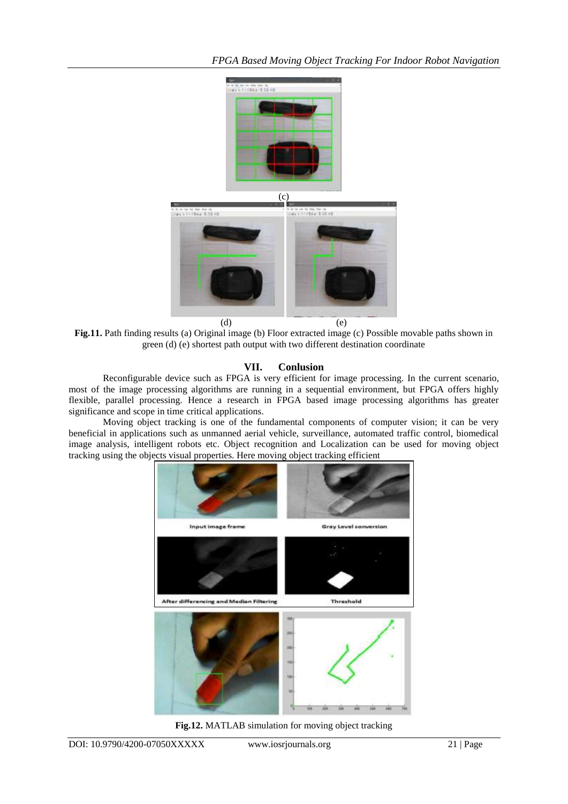

**Fig.11.** Path finding results (a) Original image (b) Floor extracted image (c) Possible movable paths shown in green (d) (e) shortest path output with two different destination coordinate

# **VII. Conlusion**

Reconfigurable device such as FPGA is very efficient for image processing. In the current scenario, most of the image processing algorithms are running in a sequential environment, but FPGA offers highly flexible, parallel processing. Hence a research in FPGA based image processing algorithms has greater significance and scope in time critical applications.

Moving object tracking is one of the fundamental components of computer vision; it can be very beneficial in applications such as unmanned aerial vehicle, surveillance, automated traffic control, biomedical image analysis, intelligent robots etc. Object recognition and Localization can be used for moving object tracking using the objects visual properties. Here moving object tracking efficient



**Fig.12.** MATLAB simulation for moving object tracking